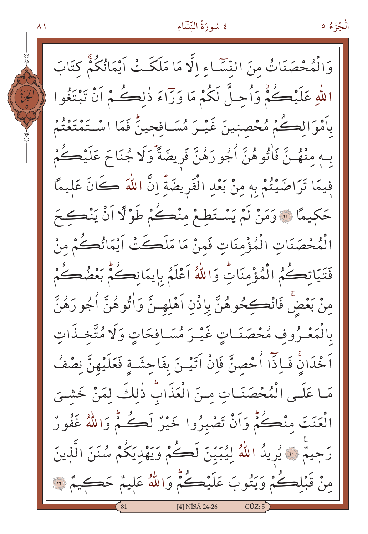الْجُزْءُ ٥

 $\wedge$  )

وَالْمُحْصَنَاتُ مِنَ النِّسَاءِ الَّا مَا مَلَكَتْ أَيْمَانُكُمْ كِتَابَ اللَّهِ عَلَيْكُمْْ وَأُحِلَّ لَكُمْ مَا وَرَاءَ ذٰلِكُمْ أَنْ تَبْتَغُوا بِأَمْوَالِكُمْ مُحْصِنِينَ غَيْـرَ مُسَـافِجِينٌ فَمَا اسْـتَمْتَعْتُمْ بِـهِ مِنْهُـنَّ فَاْتُوهُنَّ اُجُورَهُنَّ فَرِيضَةً وَلَا جُنَاحَ عَلَيْكُمْ فِيمَا تَرَاضَيْتُمْ بِهِ مِنْ بَعْدِ الْفَرِيضَةِّ إِنَّ اللَّهَ كَانَ عَليمًا حَكِيمًا ﴾ وَمَنْ لَمْ يَسْتَطِعْ مِنْكُمْ طَوْلًا اَنْ يَنْكَحَ الْمُحْصَنَاتِ الْمُؤْمِنَاتِ فَمِنْ مَا مَلَكَتْ أَيْمَانُكُمْ مِنْ فَتَيَاتِكُمُ الْمُؤْمِنَاتِ وَاللَّهُ اَعْلَمُ بِإِيمَانِكُمْ بَعْضُكُمْ مِنْ بَعْضٌ فَانْڪِحُوهُنَّ بِإِذْنِ اَهْلِهِـنَّ وَاٰتُوهُنَّ اُجُو رَهُنَّ بالْمَعْـرُوفِ مُحْصَنَـاتٍ غَيْـرَ مُسَـافحَاتٍ وَلَا مُتَّخـذَاتِ اَ خْدَانِۨ فَـاِذّاً أُحْصِنَّ فَاِنْ اَتَيْـنَ بِفَاحِشَـةٍ فَعَلَيْهِنَّ نِصْفُ مَا عَلَى الْمُحْصَنَاتِ مِنَ الْعَذَابُ ذٰلِكَ لِمَنْ خَشْيَ الْعَنَتَ مِنْكُمٌّ وَاَنْ تَصْبِرُوا خَيْرٌ لَكُمٌّ وَاللَّهُ غَفُورٌ رَحِيمٌ ۞ يُرِيدُ اللَّهُ لِيُبَيِّنَ لَكُمْ وَيَهْدِيَكُمْ سُنَنَ الَّذِينَ مِنْ قَبْلِكُمْ وَيَتُوبَ عَلَيْكُمْ وَاللَّهُ عَلِيمٌ حَكِيمٌ ۞ [4] NİSÂ 24-26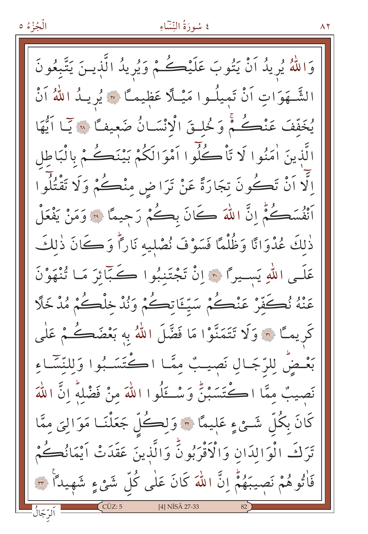الْجُزْءُ ٥

# ٤ سُورَةُ النِّسَاءِ

 $\wedge$   $\vee$ 

وَاللَّهُ يُرِيدُ اَنْ يَتُوبَ عَلَيْكُمْ وَيُرِيدُ الَّذِينَ يَتَّبِعُونَ الشَّـهَوَاتِ أَنْ تَمِيلُـوا مَيْـلًا عَظِيمـًا ۞ يُرِيـدُ اللهُ أَنْ يُخَفَّفَ عَنْڪُمْ وَخُلْقَ الْانْسَانُ ضَعِيفًا لَا يَمَا اَيُّهَا الَّذينَ اٰمَنُوا لَا تَأْكُلُوا اَمْوَالَكُمْ بَيْنَڪُمْ بِالْبَاطِلِ اِلَّا اَنْ تَكُونَ تِجَارَةً عَنْ تَرَاضِ مِنْكُمْ وَلَا تَقْتُلُوا أَنْفُسَكُمْ إِنَّ اللَّهَ كَانَ بِكُمْ رَجِيعًا ۚ وَمَنْ يَفْعَلْ ذٰلكَ عُدْوَانًا وَظُلْمًا فَسَوْفَ نُصْلِيهِ نَارًاً وَكَانَ ذٰلِكَ عَلَى اللهِ يَسْيِرًا ۞ إِنْ تَجْتَنِبُوا كَبَآئِرَ مَا تُنْهَوْنَ عَنْهُ نُكَفِّرْ عَنْكُمْ سَيِّئَاتِكُمْ وَنُدْخِلْكُمْ مُدْخَلًا كَرِيمًا ۞ وَلَا تَتَمَنَّوْا مَا فَضَّلَ اللَّهُ بِهِ بَعْضَكُمْ عَلَى بَعْضَ لِلرَّجَالِ نَصِيبٌ مِمَّا اكْتَسَـبُوا وَلِلنَّسَّـاءِ نَصِيبٌ مِمَّا اڪْتَسَبْنُ وَسْكَلُوا اللّٰهَ مِنْ فَضْلِهِ إِنَّ اللّٰهَ كَانَ بِكُلِّ شَــيْءٍ عَلِيمًا ۞ وَلِڪُلُّ جَعَلْنَــا مَوَالِيَ مِمَّا تَرَكَ الْوَالدَانِ وَالْأَقْرَبُونَّ وَالَّذِينَ عَقَدَتْ أَيْمَانُكُمْ فَاْتُوهُمْ نَصِيبَهُمْ إِنَّ اللَّهَ كَانَ عَلٰى كُلِّ شَيْءٍ شَهِيداً ٣ [4] NİSÂ 27-33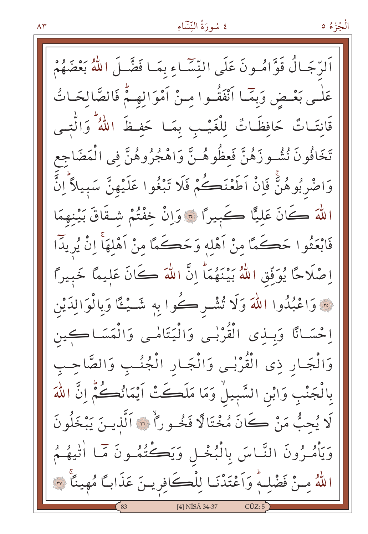اَلرَّجَالُ قَوَّامُونَ عَلَى النِّسَّاءِ بِمَـا فَضَّـلَ اللَّهُ بَعْضَهُمْ عَلْمِي بَعْسِ وَبِمَا أَنْفَقُوا مِنْ أَمْوَالِهِمْ فَالصَّالِحَاتُ قَانِتَـاتٌ حَافِظَـاتٌ لِلْغَيْـبِ بِمَـا حَفِـظَ اللَّهُ ۚ وَالَّتِـى تَخَافُونَ نُشُـوزَهُنَّ فَعظُوهُـنَّ وَاهْجُرُوهُنَّ فِي الْمَضَاجِع وَاضْرِبُوهُنٌّ فَإِنْ اَطَعْنَڪُمْ فَلَا تَبْغُوا عَلَيْهِنَّ سَبِيلاً ۗ إِنَّ اللَّهَ كَانَ عَلِيًّا كَبِيرًا ۞ وَإِنْ خِفْتُمْ شِـقَاقَ بَيْنِهِمَا فَابْعَثُوا حَكَمًا مِنْ أَهْلِهِ وَحَكَمًا مِنْ أَهْلَهَاْ إِنْ يُرِيدًا اِصْلَاحًا يُوَفِّقِ اللَّهُ بَيْنَهُمَا إِنَّ اللَّهَ كَانَ عَلِيمًا خَبِيرًا فَ وَاعْبُدُوا اللَّهَ وَلَا تُشْرِكُوا بِهِ شَـيْـٵًا وَبِالْوَالِدَيْن إحْسَـانًا وَبِـذِي الْقُرْبِـي وَالْيَتَامْـي وَالْمَسَـاكِين وَالْجَارِ ذِي الْقُرْبِي وَالْجَارِ الْجُنُبِ وَالصَّاحِبِ بِالْجَنْبِ وَابْنِ السَّبِيلُ وَمَا مَلَكَتْ اَيْمَانُكُمُّ انَّ اللّٰهَ لَا يُحبُّ مَنْ كَانَ مُخْتَالًا فَخُـوراً ۞ اَلَّذِيـنَ يَبْخَلُونَ وَيَأْمُـرُونَ النَّـاسَ بِالْبُخْـلِ وَيَكُّتُمُـونَ مَمَّـا أَنْيَهُـمُ اللَّهُ مِنْ فَضْلِهِ وَأَعْتَدْنَا لِلْكَافِرِينَ عَذَاباً مُهِينًا ۞ [4] NİSÂ 34-37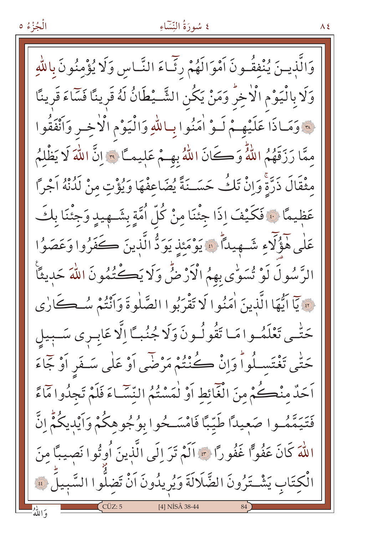وَالَّذِينَ يُنْفِقُونَ أَمْوَالَهُمْ رِثَّمَاءَ النَّبَاسِ وَلَا يُؤْمِنُونَ بِاللَّهِ وَلَا بِالْيَوْمِ الْأَخِرِّ وَمَنْ يَكُنِ الشَّــْطَانُ لَهُ قَرِينًا فَسَاءَ قَرِينًا فَعَ وَمَاذَا عَلَيْهِمْ لَـوْ أُمَنُوا بِبِاللَّهِ وَالْيَوْمِ الْأَخِيرِ وَأَنْفَقُوا ممَّا رَزَقَهُمُ اللَّهُ وَكَانَ اللَّهُ بِهِمْ عَلِيماً ﴾ إنَّ اللهَ لَا يَظْلِمُ مثْقَالَ ذَرَّةً وَإِنْ تَكُ حَسَـنَةً يُضَاعِفْهَا وَيُؤْتِ مِنْ لَدُنْهُ اَجْرًا عَظِيمًا ۞ فَكَيْفَ إِذَا جِئْنَا مِنْ كُلِّ اُمَّةٍ بِشَـهِيدٍ وَجِئْنَا بِكَ عَلَى هَؤُلَّاءِ شَـهِيداً ۚ ۚ يَوْمَئِذِ يَوَدُّ الَّذِينَ كَفَرُوا وَعَصَوُا الرَّسُولَ لَوْ تُسَوِّي بِهِمُ الْأَرْضُّ وَلَا يَكْتُمُونَ اللَّهَ حَدِيثًا فِينَ آيُّهَا الَّذِينَ اٰمَنُوا لَا تَقْرَبُوا الصَّلٰوةَ وَأَنْتُمْ سُـڪَارٰي حَتّٰـى تَعْلَمُــوا مَــا تَقُولُــونَ وَلَا جُنُبــًا اِلَّا عَابِــرِى سَــبِيلِ حَتَّبِي تَغْتَسِـلُواْ وَإِنْ كُنْتُمْ مَرْضَى أَوْ عَلَى سَـفَر أَوْ جَمَاءَ اَحَدٌ مِنْڪُمْ مِنَ الْغَائِطِ أَوْ لَمَسْتُمُ النِّسَاءَ فَلَمْ تَجِدُوا مَاءً فَتَيَمَّمُوا صَعِيدًا طَيِّبًا فَامْسَــحُوا بِوُجُوهِكُمْ وَأَيْدِيكُمُّ اِنَّ اللَّهَ كَانَ عَفُوًّا غَفُورًا \* أَلَمْ تَرَ إِلَى الَّذِينَ أُوتُوا نَصِيبًا مِنَ الْكتَابِ يَشْتَرُونَ الضَّلَالَةَ وَيُرِيدُونَ اَنْ تَضِلُّوا السَّبِيلَ ﴾ [4] NİSÂ 38-44 براياو<br>و الله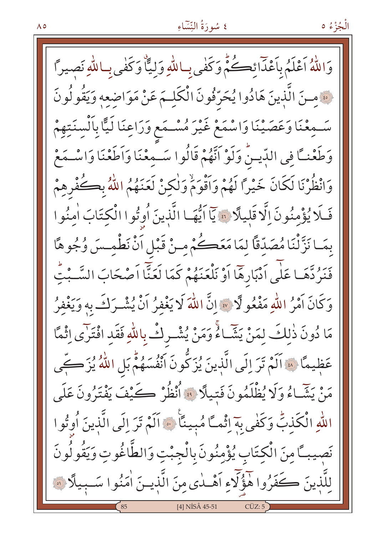وَاللَّهُ اَعْلَمُ بِإَعْدَائِكُمُّ وَكَفِّي بِبِاللَّهِ وَلِيًّا وَكَفْيِ بِبِاللَّهِ نَصِيراً فَعَمْنَ الَّذِينَ هَادُوا يُحَرِّفُونَ الْكَلِمَ عَنْ مَوَاضِعِهِ وَيَقُولُونَ سَمِعْنَا وَعَصَيْنَا وَاسْمَعْ غَيْرَ مُسْـمَعِ وَرَاعِنَا لَيًّا بِاَلْسِنَتِهِمْ وَطَعْنـَـَّا فِي الدِّيـنُ وَلَوْ اَنَّهُمْ قَالُوا سَـمِعْنَا وَاطَعْنَا وَاسْـمَعْ وَانْظُرْنَا لَكَانَ خَيْرًا لَهُمْ وَأَقْوَمْ وَلٰكِنْ لَعَنَهُمُ اللَّهُ بِكُفْرِهِمْ فَلَا يُؤْمِنُونَ إِلَّا قَلِيلًا ؟ يَاۤاَيُّهَا الَّذِينَ أُوتُوا الْكِتَابَ اٰمِنُوا بِمَـا نَزَّلْنَا مُصَدِّقًا لِمَا مَعَكُمْ مِـنْ قَبْلِ اَنْ نَطْمِـسَ وُجُوهًا فَنَرُدَّهَـا عَلَى أَدْبَارِهَا أَوْ نَلْعَنَهُمْ كَمَا لَعَنَّا أَصْحَابَ السَّـبْتِ وَكَانَ أَمْرُ اللَّهِ مَفْعُو لَّا \* إِنَّ اللَّهَ لَا يَغْفِرُ أَنْ يُشْرَكَ بِهِ وَيَغْفِرُ مَا دُونَ ذٰلِكَ لِمَنْ يَشَّاءُ وَمَنْ يُشْرِكْ بِاللَّهِ فَقَدِ افْتَرَى إِثْمًا عَظِيمًا ﴾ الَمْ تَرَ الَى الَّذِينَ يُزَكُّونَ انْفُسَهُمْ بَلِ اللَّهُ يُزَكِّى مَنْ يَشَّاءُ وَلَا يُظْلَمُونَ فَتِيلًا ۞ أُنْظُرْ كَيْفَ يَفْتَرُونَ عَلَى اللَّهِ الْكَذِبُّ وَكَفٰى بِهَ إِثْماً مُبِينًا ۞ اَلَمْ تَرَ إِلَى الَّذِينَ أُوتُوا نَصِيبًا مِنَ الْكِتَابِ يُؤْمِنُونَ بِالْجِبْتِ وَالطَّاغُوتِ وَيَقُولُونَ لِلَّذِينَ كَفَرُوا هَؤُلَّاءِ اَهْـٰدٰى مِنَ الَّذِيـنَ اٰمَنُوا سَـبِيلًا ﴾ [4] NİSÂ 45-51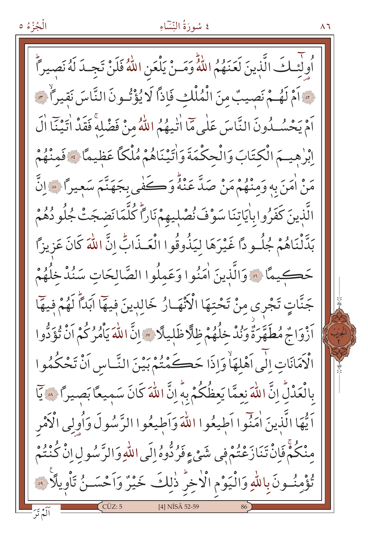$\wedge$   $\vee$ 

أُولِّئِكَ الَّذِينَ لَعَنَهُمُ اللَّهُ وَمَـنْ يَلْعَنِ اللَّهُ فَلَنْ تَجِـدَ لَهُ نَصيراً مِ اَمْ لَهُـمْ نَصِيبٌ مِنَ الْمُلْكِ فَإِذاً لَا يُؤْتُـونَ النَّاسَ نَقيراً \*\* أَمْ يَحْسُبُونَ النَّاسَ عَلَى مَا اٰتَّنِهُمُ اللَّهُ مِنْ فَضْلَهُ فَقَدْ اٰتِيْنَا اٰلَ إِبْرِهِيهَم الْكِتَابَ وَالْحِكْمَةَ وَاٰتِيْنَاهُمْ مُلْكًا عَظِيمًا ﴾ فَمنْهُمْ يَهُ، أُمِّنَ بِهِ وَمِنْهُمْ مَنْ صَدَّ عَنْهُ وَكَفِّي بِجَهَنَّمَ سَعِيراً ۞ إِنَّ الَّذِينَ كَفَرُوابِاٰيَاتِنَا سَوْفَ نُصْلِيهِمْ نَارًا كُلَّمَانَضجَتْ جُلُو دُهُمْ بَدَّنْنَاهُمْ جُلُّوداً غَيْرَهَا لِيَذُوقُوا الْعَـذَابِّ انَّ اللّٰهَ كَانَ عَزِيزاً حَكيمًا ۞ وَالَّذِينَ اٰمَنُوا وَعَمِلُوا الصَّالِحَاتِ سَنُدْخِلُهُمْ جَنَّاتٍ تَجْرِي مِنْ تَحْتِهَا الْأَنْهَـارُ خَالِدِينَ فِيهَا آبَدَأُ لَهُمْ فِيهَا اَزْوَاجٌ مُطَهَّرَةٌ وَنُدْ خِلُهُمْ ظِلَّا ظَلِيلًا ﴾ إِنَّ اللَّهَ يَأْمُرُكُمْ اَنْ تُؤَدُّوا الْكَمَانَاتِ اِلْمِي اَهْلِهَاْ وَإِذَا حَكَمْتُمْ بَيْنَ النَّسَاسِ اَنْ تَحْكُمُوا بِالْعَدْلِّ إِنَّ اللَّهَ نِعِمَّا يَعِظُكُمْ بِهِ إِنَّ اللَّهَ كَانَ سَمِيعًا بَصِيرًا ﴾ يَا اَ يُّهَا الَّذِينَ اٰمَنُوا اَطِيعُوا اللَّهَ وَاَطِيعُوا الرَّسُولَ وَاُولِي الْأَمْرِ مِنْكُمْ فَإِنْ تَنَازَعْتُمْ فِي شَيْءٍ فَرُدُّوهُ إِلَى اللّهِ وَالرَّسُولِ إِنْ كُنْتُمْ تُؤْمِنُونَ بِاللَّهِ وَالْيَوْمِ الْأَخِرِّ ذٰلِكَ خَيْرٌ وَاَحْسَـنُ تَأْوِيلًا ۞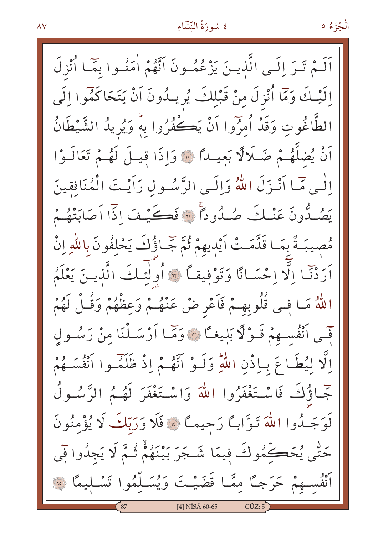اَلَـمْ تَـرَ إِلَـى الَّذِيـنَ يَزْعُمُـونَ اَنَّهُمْ اٰمَنُـوا بِمَـا اُنْزِلَ إِلَيْـكَ وَمَّا أُنْزِلَ مِنْ قَبْلِكَ يُرِيـدُونَ أَنْ يَتَحَاكَمُوا إِلَى الطَّاغُوتِ وَقَدْ أُمرُوا آنْ يَكْفُرُوا بِهِ وَيُرِيدُ الشَّيْطَانُ أَنْ يُضلَّهُمْ ضَلَالًا بَعِيداً ﴿ وَإِذَا قِيلَ لَهُمْ تَعَالَـوْا الّٰٰہِ مِّمَا اَنْنَزَلَ اللّٰہُ وَاِلَّے الرَّسُولِ رَاَیْتَ الْمُنَافِقِینَ يَصُـدُّونَ عَنْـكَ صُـدُودًا ۞ فَكَـيْـفَ اذَّا أَصَابَتْهُـمْ مُصِيبَةٌ بِمَـا قَدَّمَـتْ أَيْدِيهِمْ ثُمَّ جَّـاؤُكَ يَحْلِفُونَ بِاللَّهِ إِنْ أَرَدْنَا إِلَّا إِحْسَانًا وَتَوْفِيقاً ﴾ أُولَٰئِكَ الَّذِينَ يَعْلَمُ اللَّهُ مَـا فِـى قُلُوبِهِـمْ فَاَعْرِ ضْ عَنْهُـمْ وَعِظْهُمْ وَقُـلْ لَهُمْ فَّسِي ٱنْفُسِــهِمْ قَـوْلًا بَلِيغـًا \* وَمَّـا أَرْسَــلْنَا مِنْ رَسُــولِ اِلَّا لِيُطَاعَ بِإِذْنِ اللَّهِ وَلَـوْ أَنَّهُـمْ إِذْ ظَلَمۡـوا أَنْفُسَـهُمْ جَّـاؤُكَ فَاسْـتَغْفَرُوا اللَّهَ وَاسْـتَغْفَرَ لَهُـمُ الرَّسُـولُ لَوَجَـدُوا اللَّهَ تَوَّابِـًا رَجِيمـًا ﴾ فَلَا وَرَبَّكَ لَا يُؤْمِنُونَ حَتّٰى يُحَڪِمُوكَ فِيمَا شَـجَرَ بَيْنَهُمْ ثُـمَّ لَا يَجِدُوا فَمِي أَنْفُسِهِمْ حَرَجًا مِمَّـا قَضَيْـتَ وَيُسَـلَّمُوا تَسْـليمًا ۞ [4] NİSÂ 60-65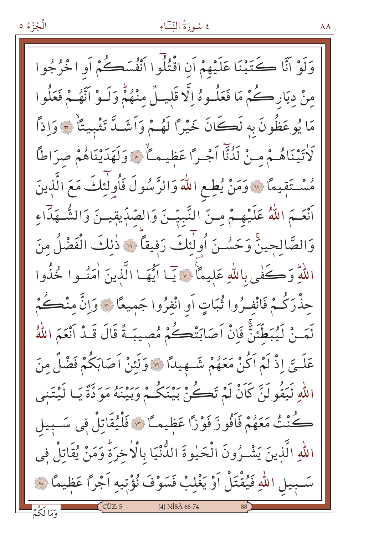وَلَوْ أَنَّا كَتَبْنَا عَلَيْهِمْ أَنِ اقْتُلُوا أَنْفُسَكُمْ أَوِ ا خْرُجُوا مِنْ دِيَارِكُمْ مَا فَعَلُـوهُ اِلَّا قَلِيـلٌ مِنْهُمْٓ وَلَـوْ اَنَّهُـمْ فَعَلُوا مَا يُوعَظُونَ بِهِ لَڪَانَ خَيْرًا لَهُـمْ وَاَشَـدَّ تَثْبِيتًا ۚ ﴾ وَاذاً كَاتِيْنَاهُمْ مِنْ لَدُنَّا اَجْرًا عَظِيمَاً \* وَلَهَدَيْنَاهُمْ صِرَاطًا مُسْتَقِيمًا لِلَّهِ وَمَنْ يُطِعِ اللَّهَ وَالرَّسُولَ فَأُولَٰئِكَ مَعَ الَّذِينَ أَنْعَـمَ اللَّهُ عَلَيْهِـمْ مِـنَ النَّبِيِّـنَ وَالصِّبِّيقِيـنَ وَالشُّـهَدَّاءِ وَالصَّالحينَّ وَحَسُـنَ أُولٰئِكَ رَفِيقًا ﴾ ذٰلِكَ الْفَضْلُ مِنَ اللَّهِ وَكَفَّى بِاللَّهِ عَلِيمًا ۚ ﴾ ﴾ آيمًا ايُّهَا الَّذِينَ اٰمَنُـوا خُذُوا حِذْرَكُـمْ فَانْفِـرُوا ثُبَاتٍ أَو انْفِرُوا جَمِيعًا ۞وَاِنَّ مِنْڪُمْ لَمَـنْ لَيُبَطِّئَنَّ فَإِنْْ اَصَابَتْكُمْ مُصِيبَةٌ قَالَ قَـدْ اَنْعَمَ اللَّهُ عَلَــيَّ إِذْ لَمْ اَكُنْ مَعَهُمْ شَــهِيداً ۞ وَلَئِنْ اَصَابَكُمْ فَضْلٌ مِنَ اللّٰهِ لَيَقُولَنَّ كَاَنْ لَمْ تَكُنْ بَيْنَكُمْ وَبَيْنَهُ مَوَدَّةٌ يَـا لَيْتَنِي كُنْتُ مَعَهُمْ فَأَفُوزَ فَوْزًا عَظِيمـًا ۞ فَلْيُقَاتِلْ فِي سَـبِيل اللهِ الَّذِينَ يَشْـرُونَ الْحَيْوةَ الدُّنْيَا بِالْأَخِرَةُ وَمَنْ يُقَاتِلْ فِي سَـبِيلِ اللَّهِ فَيُقْتَلْ اَوْ يَغْلِبْ فَسَوْفَ نُؤْتِيهِ اَجْراً عَظِيمًا \*\* [4] NISÂ 66-74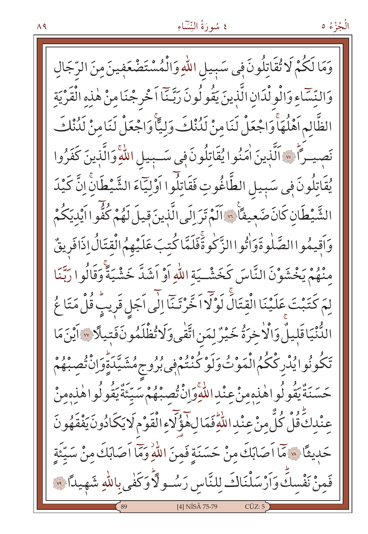الْجُزْءُ ٥

وَمَا لَكُمْ لَا تُقَاتِلُونَ فِي سَبِيلِ اللَّهِ وَالْمُسْتَضْعَفِينَ مِنَ الرِّجَالِ وَالنِّسَاءِ وَالْوِلْدَانِ الَّذِينَ يَقُولُونَ رَبَّـنَا اَخْرِجْنَا مِنْ هٰذِهِ الْقَرْيَةِ الظَّالِمِ اَهْلُهَاۚ وَاجْعَلْ لَنَامِنْ لَدُٰنْكَ وَلِيًّاۚ وَاجْعَلْ لَنَامِنْ لَدُٰنْكَ نَصِيراً \* اَلَّذِينَ اٰمَنُوا يُقَاتِلُونَ فِي سَـبِيلِ اللَّهِ وَالَّذِينَ كَفَرُوا يُقَاتِلُونَ فِي سَبِيلِ الطَّاغُوتِ فَقَاتِلُوا اَوْلِيَاءَ الشَّيْطَانَّ اِنَّ كَيْدَ الشَّيْطَانِ كَانَ ضَعِيفاً \* اَلَمْ تَرَ إِلَى الَّذِينَ قِيلَ لَهُمْ كُفُّوا اَيْدِيَكُمْ وَاَقِيهُو االصَّلْوةَوَاْتُواالزَّكُوةَفَلَمَّا كُتبَ عَلَيْهِمُ الْقِتَالُ اذَافَرِيقٌ مِنْهُمْ يَخْشَوْنَ النَّاسَ كَخَشْـيَة اللَّهِ اَوْ اَشَدَّ خَشْيَةً وَقَالُو ا رَبَّنَا لِمَ كَتَبْتَ عَلَيْنَا الْقِتَالَ لَوْلَا اَخَّرْتَنَّا إِلَى اَجَلِ قَرِيبٍ قُلْ مَتَا عُ الدُّنْيَاقَلِيلٌ وَالْأَخِرَةُ خَيْرٌ لِمَنِ اتَّقٰى وَلَاتُّظْلَمُونَفَتِيلًا ۞ آيْنَ مَا تَكُونُوا يُدْرِكْكُمُ الْمَوْتُوَلَوْكُنْتُمْ فِي بُرُوجِ مُشَيَّدَةٍ وَإِنْ تُصِبْهُمْ حَسَنَةًٰ يَقُو لُواهٰذِهِ مِنْ عِنْداللَّهِ وَإِنْ تُصِبْهُمْ سَيِّئَةًۢ يَقُو لُواهٰذِهِ مِنْ عِنْدِكَ قُلْ كُلُّ مِنْ عِنْدِ اللَّهِ فَمَا لِهِ هَؤُلَاءِ الْقَوْمِ لَا يَكَادُونَ يَفْقَهُونَ حَدِيثًا ۞ مَا اَصَابَكَ مِنْ حَسَنَةٍ فَمِنَ اللَّهِ وَمَا اَصَابَكَ مِنْ سَيِّئَةٍ فَمِنْ نَفْسِكَ وَاَرْسَلْنَاكَ لِلنَّاسِ رَسُــو لَأَوَكَفٰىِبِاللّٰهِ شَهِيدًا ۞ [4] NİSÂ 75-79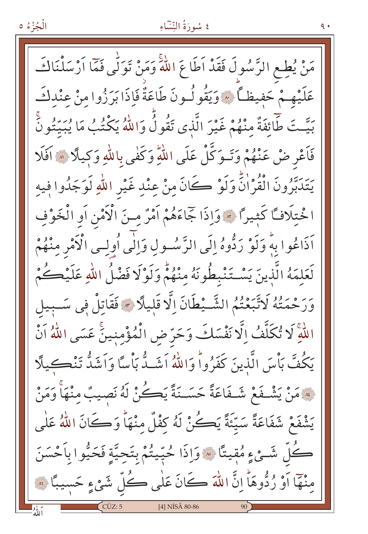الْجُزْءُ ٥

مَنْ يُطِعِ الرَّسُولَ فَقَدْ اَطَاعَ اللَّهَ وَمَنْ تَوَلَّى فَمَّا اَرْسَلْنَاكَ عَلَيْهِمْ حَفِيظاً ۞ وَيَقُولُونَ طَاعَةٌ فَإِذَا بَرَزُوا مِنْ عِنْدِكَ بَيَّتَ طَّائِفَةٌ مِنْهُمْ غَيْرَ الَّذِي تَقُولُ وَاللَّهُ يَكْتُبُ مَا يُبَيِّتُونَ فَأَعْرِضْ عَنْهُمْ وَتَـوَكَّلْ عَلَى اللَّهِ وَكَفٰى بِاللَّهِ وَكِيلًا ۞ أَفَلَا يَتَدَبَّرُونَ الْقُرْاٰنِّ وَلَوْ كَانَ مِنْ عِنْدِ غَيْرِ اللّٰهِ لَوَجَدُوا فِيهِ ا خْتلَافًا كَثِيرًا ۞ وَإِذَا جَمَاءَهُمْ أَمْرٌ مِنَ الْأَمْنِ أَوِ الْخَوْفِ اَذَاعُوا بِهِ وَلَوْ رَدُّوهُ إِلَى الرَّسُولِ وَإِلَى أُولِسِي الْأَمْرِ مِنْهُمْ لَعَلِمَهُ الَّذِينَ يَسْتَنْبِطُونَهُ مِنْهُمْ وَلَوْلَا فَضْلُ اللّٰهِ عَلَيْكُمْ وَرَحْمَتُهُ لَاتَّبَعْتُمُ الشَّـيْطَانَ اِلَّا قَلِيلًا \* فَقَاتِلْ فِي سَـبِيل اللَّهِ لَا تُكَلَّفُ اِلَّا نَفْسَكَ وَحَرّ ض الْمُؤْمِنِينَ عَسَى اللَّهُ اَنْ يَكُفَّ بَأْسَ الَّذِينَ كَفَرُواْ وَاللَّهُ اَشَـدُّ بَأْسًا وَاَشَدُّ تَنْڪيلًا لِهِ مَنْ يَشْـفَعْ شَـفَاعَةً حَسَــنَةً يَكُنْ لَهُ نَصيبٌ منْهَا وَمَنْ يَشْفَعْ شَفَاعَةً سَيِّئَةً يَكُنْ لَهُ كِفْلٌ مِنْهَاً وَكَانَ اللَّهُ عَلَى كُلُّ شَــْيْءٍ مُقِيتًا ۞ وَإِذَا حُيّيتُمْ بِتَحِيَّةٍ فَحَيُّوا بِأَحْسَنَ منْهَا أَوْ رُدُّوهَا إِنَّ اللَّهَ كَانَ عَلَى كُلِّ شَيْءٍ حَسِيبًا ۞ [4] NİSÂ 80-86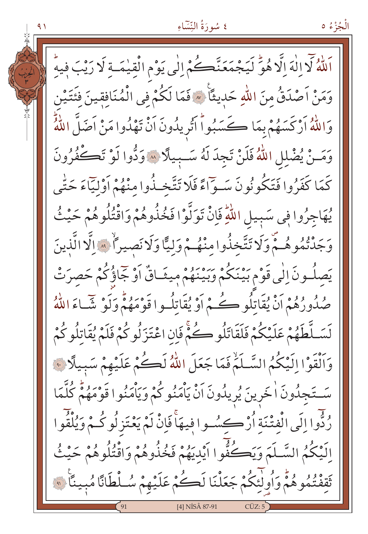الْجُزْءُ ٥

اَللَّهُ لَا إِلٰهَ إِلَّا هُوَّ لَيَجْمَعَنَّڪُمْ إِلٰى يَوْمِ الْقِيٰمَـةِ لَا رَيْبَ فِيهِ وَمَنْ اَصْدَقُٰ مِنَ اللّٰهِ حَدِيثًا ۞ فَمَا لَكُمْ فِي الْمُنَافِقِينَ فِئَتَيْنِ وَاللّهُ أَرْكَسَهُمْ بِمَا كَسَبُواْ أَتُرِيدُونَ اَنْ تَهْدُوا مَنْ اَضَلَّ اللّهُ وَمَـنْ يُضْلِلِ اللَّهُ فَلَنْ تَجِدَ لَهُ سَـبِيلًا \* وَدُّوا لَوْ تَكْفُرُونَ كَمَا كَفَرُوا فَتَكُونُونَ سَـوّاءً فَلَا تَتَّخـذُوا منْهُمْ أَوْلَيّاءَ حَتّٰى يُهَاجِرُوا فِي سَبِيلِ اللَّهِ فَإِنْ تَوَلَّوْا فَخُذُوهُمْ وَاقْتُلُوهُمْ حَيْثُ وَجَدْتُمُوهُمْ وَلَا تَتَّخِذُوا مِنْهُمْ وَلِيًّا وَلَا نَصِيراً ﴾ الَّذالَّذينَ يَصِلُونَ إِلَى قَوْمِ بَيْنَكُمْ وَبَيْنَهُمْ مِيثَـاقٌ أَوْ جَمَاؤُكُمْ حَصرَتْ صُدُورُهُمْ أَنْ يُقَاتِلُو ڪُمْ أَوْ يُقَاتِلُوا قَوْمَهُمْ وَلَوْ شَيَاءَ اللَّهُ لَسَـلَّطَهُمْ عَلَيْكُمْ فَلَقَاتَلُو كُمّْ فَإِنِ اعْتَزَلُو كُمْ فَلَمْ يُقَاتِلُو كُمْ وَاَلْقَوْا الَيْكُمُ السَّلَمَّ فَمَا جَعَلَ اللَّهُ لَكُمْ عَلَيْهِمْ سَبِيلًا ﴾ سَتَجِدُونَ الْحَرِينَ يُرِيدُونَ اَنْ يَأْمَنُو كُمْ وَيَأْمَنُوا قَوْمَهُمْ كُلَّمَا رُدُّوا إِلَى الْفِتْنَةِ أُرْكِسُسُوا فِيهَاً فَإِنّْ لَمْ يَعْتَزِلُوكُمْ وَيُلْقُوا إِلَيْكُمُ السَّلَمَ وَيَكُفُّوا أَيْدِيَهُمْ فَخُذُوهُمْ وَاقْتُلُوهُمْ حَيْثُ تَقفْتُمُوهُمْ وَأُولَٰئِكُمْ جَعَلْنَا لَڪُمْ عَلَيْهِمْ سُلْطَانًا مُبِينًا ۞ 141 NÍSÂ 87-91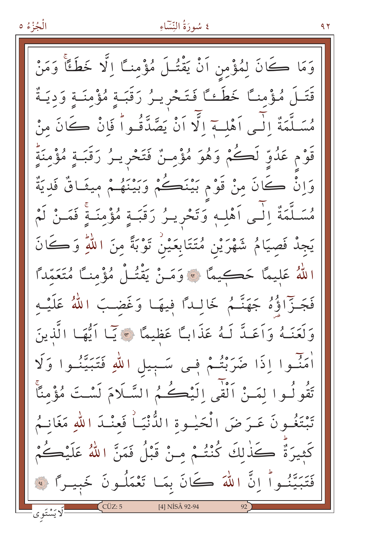الْجُزْءُ ٥

# ٤ سُورَةُ النِّسَاءِ

۹۲

وَمَا كَانَ لِمُؤْمِنِ اَنْ يَقْتُـلَ مُؤْمِنـًا اِلَّا خَطَئًا وَمَنْ قَتَـلَ مُؤْمنـًا خَطَءـًا فَتَحْرِيـرُ رَقَبَـةٍ مُؤْمِنَـةٍ وَدِيَـةٌ مُسَلَّمَةٌ إِلَى أَهْلِ إِلَّا أَنْ يَصَّدَّقُواْ فَإِنْ كَانَ مِنْ قَوْم عَدُوٍّ لَكُمْ وَهُوَ مُؤْمِنٌ فَتَحْرِيـرُ رَقَبَـةٍ مُؤْمِنَةٍ وَإِنْ كَانَ مِنْ قَوْمٍ بَيْنَكُمْ وَبَيْنَهُمْ مِيثَاقٌ فَدِيَةٌ مُسَلَّمَةٌ إِلَى أَهْلِهِ وَتَحْرِيـرُ رَقَبَـةٍ مُؤْمِنَـةٍ فَمَـنْ لَمْ يَجِدْ فَصِيَامُ شَهْرَيْنِ مُتَتَابِعَيْنُ تَوْبَةً مِنَ اللّٰهِ وَكَانَ اللَّهُ عَلِيمًا حَكِيمًا ۞ وَمَنْ يَقْتُلْ مُؤْمِنًا مُتَعَمِّدًا فَجَـزّاؤُهُ جَهَنَّـمُ خَالِـداً فِيهَـا وَغَضـبَ اللّهُ عَلَيْـه وَلَعَنَـهُ وَاَعَـدَّ لَـهُ عَذَابـًا عَظِيمًا ﴾ يَبَا اَيُّهَـا الَّذِينَ أُمَنُّوا إِذَا ضَرَبْتُمْ فِي سَبِيلِ اللَّهِ فَتَبَيَّنُوا وَلَا تَقُولُوا لِمَنْ اَلْقَى الَيْڪُمُ السَّلَامَ لَسْتَ مُؤْمِنًا تَبْتَغُـونَ عَـرَضَ الْحَيْـوةِ الدُّّنْيَـاْ فَعِنْـدَ اللهِ مَغَانِـمُ كَثِيرَةٌ كَذٰلكَ كُنْتُمْ منْ قَبْلُ فَمَنَّ اللَّهُ عَلَيْكُمْ فَتَبَيَّنُواْ إِنَّ اللَّهَ كَانَ بِمَا تَعْمَلُونَ خَبِيـرًا ۞ [4] NİSÂ 92-94 ا<br>لايَسْتَوى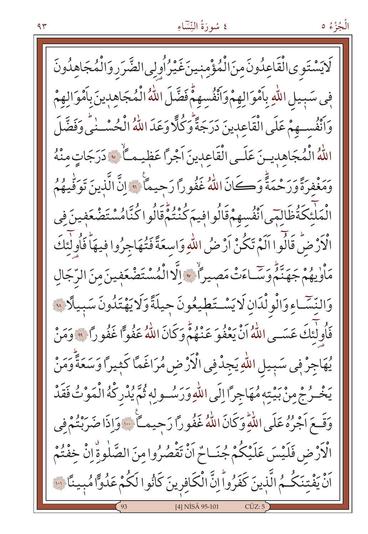لَايَسْتَوِىالْقَاعِلُونَ مِنَ الْمُؤْمِنِينَ غَيْرُ أُولِي الضَّرَرِ وَالْمُجَاهِلُونَ فِي سَبِيلِ اللَّهِ بِٱمْوَالِهِمْ وَٱنْفُسِهِمْۚ فَضَّلَ اللَّهُ الْمُجَاهِدِينَ بِٱمْوَالِهِمْ وَأَنْفُسِهِمْ عَلَى الْقَاعِدِينَ دَرَجَةً وَكُلًّا وَعَدَ اللَّهُ الْحُسْــٰنِيِّ وَفَضَّلَ اللّهُ الْمُجَاهدينَ عَلَى الْقَاعِدِينَ اَجْرًا عَظِيماً ﴾ دَرَجَاتٍ مِنْهُ رَ مِنْ وَرَحْمَةً وَكَانَ اللَّهُ غَفُوراً رَحِيماً ۞ إِنَّ الَّذِينَ تَوَقِّيهُمُ الْمَلْئِكَةُٰظَالِمَى ٱنْفُسهمْقَالُوافِيمَ كُنْتُمْقَالُوا كُنَّامُسْتَضْعَفِينَ فِي الْأَرْضُّ قَالُوا اَلَمْ تَكُنْ اَرْضُ اللَّهِ وَاسِعَةً فَتُهَاجِرُوا فِيهَا فَأُولٰئِكَ مَأْوِيهُمْ جَهَنَّمْ وَسَّـاءَتْ مَصِيراً \* إِلَّا الْمُسْتَضْعَفِينَ مِنَ الرَّجَالِ وَالنِّسَّاءِ وَالْوِلْدَانِ لَايَسْتَطِيعُونَ حِيلَةً وَلَايَهْتَدُونَ سَبِيلًا ۞ فَأُولٰئِكَ عَسَــى اللَّهُ أَنْ يَعْفُوَ عَنْهُمْ وَكَانَ اللَّهُ عَفُواً غَفُوراً ﴾ وَمَنْ يُهَاجِرُ فِي سَبِيلِ اللَّهِ يَجِدْفِي الْأَرْضِ مُرَاغَمًا كَثِيرًا وَسَعَةً وَمَنْ يَخْـرُجْ مِنْ بَيْتِهِ مُهَاجِرًا إِلَى اللَّهِ وَرَسُـو لِهِ ثُمَّ يُدْرِكْهُ الْمَوْتُ فَقَدْ وَقَعَ أَجْرُهُ عَلَى اللَّهِ وَكَانَ اللَّهُ غَفُوراً رَحِيماً ۚ وَإِذَا ضَرَبْتُمْ فِي الْأَرْضِ فَلَيْسَ عَلَيْكُمْ جُنَـاحٌ اَنْ تَقْصُرُوا مِنَ الصَّلٰوةِ إِنْ خِفْتُمْ اَنْ يَفْتِنَكُمُ الَّذِينَ كَفَرُواْ اِنَّ الْكَافِرِينَ كَانُوا لَكُمْ عَلُوًّا مُبِينًا لَنَّ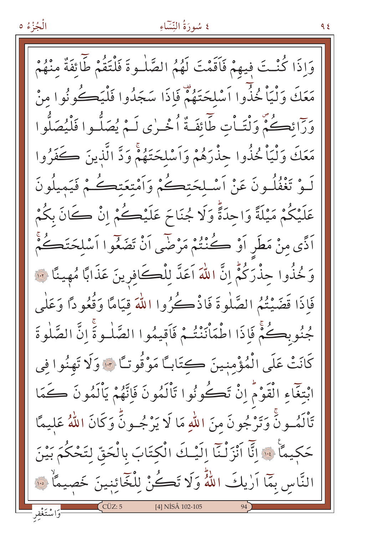وَإِذَا كُنْتَ فِيهِمْ فَأَقَمْتَ لَهُمُ الصَّلْوةَ فَلْتَقُمْ طَّائِفَةٌ مِنْهُمْ مَعَكَ وَلْيَاْ خُذُوا اَسْلِحَتَهُمْ فَاذَا سَجَدُوا فَلْيَكُونُوا مِنْ وَرَائِكُمْ وَلْتَـاْتِ طَائِفَةٌ اُخْـرٰى لَـمْ يُصَلُّـوا فَلْيُصَلُّوا مَعَكَ وَلْيَاْ خُذُوا حِذْرَهُمْ وَاَسْلِحَتَهُمْ وَدَّ الَّذِينَ كَفَرُوا لَـوْ تَغْفُلُـونَ عَنْ اَسْـلحَتڪُمْ وَاَمْتِعَتڪُمْ فَيَميلُونَ عَلَيْكُمْ مَيْلَةً وَاحِدَةً وَلَا جُنَاحَ عَلَيْكُمْ إِنْ كَانَ بِكُمْ اَذًى مِنْ مَطَرٍ اَوْ ڪُنْنُمْ مَرْضَى اَنْ تَضَعُّوا اَسْلِحَتَڪُمْ وَكْذُوا حِذْرَكُمْ إِنَّ اللَّهَ اَعَدَّ لِلْكَافِرِينَ عَذَابًا مُهِينًا ۞ فَإِذَا قَضَيْتُمُ الصَّلْوةَ فَاذْكُرُوا اللَّهَ قيَامًا وَقُعُودًا وَعَلَى جُنُوبِكُمْ فَإِذَا اطْمَأْنَنْتُمْ فَأَقِيمُوا الصَّلْوةَ إِنَّ الصَّلٰوةَ كَانَتْ عَلَى الْمُؤْمِنِينَ كِتَابِكَا مَوْقُوتِكَا ٣٠ وَلَا تَهِنُوا في ابْتغَاءِ الْقَوْمُ إِنْ تَكُونُوا تَأْلَمُونَ فَإِنَّهُمْ يَأْلَمُونَ كَمَا تَأْلَمُــونَّ وَتَرْجُونَ منَ اللَّهِ مَا لَا يَرْجُــونَّ وَكَانَ اللَّهُ عَليمًا حَكِيمًا ۚ ﴾ إِنَّا اَنْزَلْنَا إِلَيْكَ الْكِتَابَ بِالْحَقِّ لِتَحْكُمَ بَيْنَ النَّاس بِمَّا اَرٰيكَ اللَّهُّ وَلَا تَكُنْ لِلْخَائِنِينَ خَصِيمًاْ ۞ [4] NISÂ 102-105

الْجُزْءُ ٥

ع ۹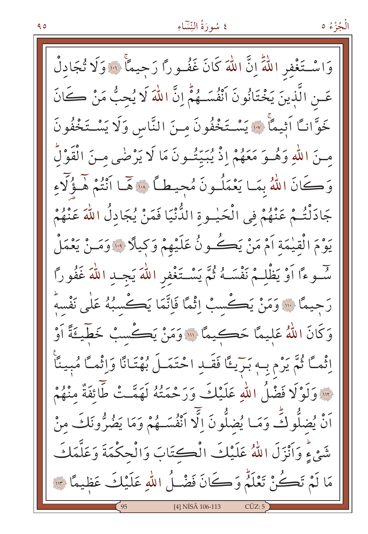الْجُزْءُ ٥

وَاسْتَغْفِرِ اللَّهَ إِنَّ اللَّهَ كَانَ غَفُوراً رَحِيماً ۞ وَلَا تُجَادِلْ عَـنِ الَّذِينَ يَخْتَانُونَ اَنْفُسَــهُمْٓ إِنَّ اللَّهَ لَا يُحِبُّ مَنْ كَانَ خَوَّانًا اَثِيمًا ﴾ يَسْتَخْفُونَ مِنَ النَّاسِ وَلَا يَسْتَخْفُونَ مِنَ اللَّهِ وَهُـوَ مَعَهُمْ إِذْ يُبَيِّتُـونَ مَا لَا يَرْضَى مِـنَ الْقَوْلُ وَكَانَ اللَّهُ بِمَا يَعْمَلُونَ مُحيطاً ۞ مَّمَا أَنْتُمْ هُـؤُلَّاءِ جَادَنْتُمْ عَنْهُمْ فِي الْحَيْـوةِ الدُّنْيَا فَمَنْ يُجَادِلُ اللهَ عَنْهُمْ يَوْمَ الْقِيْمَةِ أَمْ مَنْ يَڪُونُ عَلَيْهِمْ وَكِيلًا ۞ وَمَـنْ يَعْمَلْ سُّـوءًا أَوْ يَظْلِـمْ نَفْسَـهُ ثُمَّ يَسْـتَغْفِرِ اللَّهَ يَجِـدِ اللَّهَ غَفُورًا رَحِيمًا ۚ إِلَى وَمَنْ يَكْسُبُ إِثْمًا فَإِنَّمَا يَكُسُبُهُ عَلَى نَفْسَهُ وَكَانَ اللَّهُ عَلِيمًا حَكِيمًا ۞ وَمَنْ يَكْسِبْ خَطِّيءَةً أَوْ اِثْمَـَّا ثُمَّ يَرْم بِـهِ بَـرَيـئًا فَقَــدِ احْتَمَــلَ بُهْتَـانًا وَاِثْمـًا مُبينًا ··· وَلَوْلَا فَضْلُ اللَّهِ عَلَيْكَ وَرَحْمَتُهُ لَهَمَّتْ طَائِفَةٌ مِنْهُمْ َنْ يُضِلُّوكَ وَمَـا يُضِلُّونَ اِلَّا ٱنْفُسَــهُمْ وَمَا يَضُرُّونَكَ مِنْ شَيْءٍ وَأَنْزَلَ اللَّهُ عَلَيْكَ الْكتَابَ وَالْحكْمَةَ وَعَلَّمَكَ مَا لَمْ تَكُنْ تَعْلَمُ وَكَانَ فَضْلُ اللّهِ عَلَيْكَ عَظِيمًا ٣ [4] NİSÂ 106-113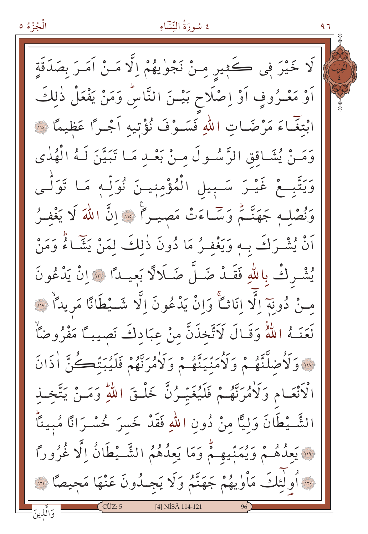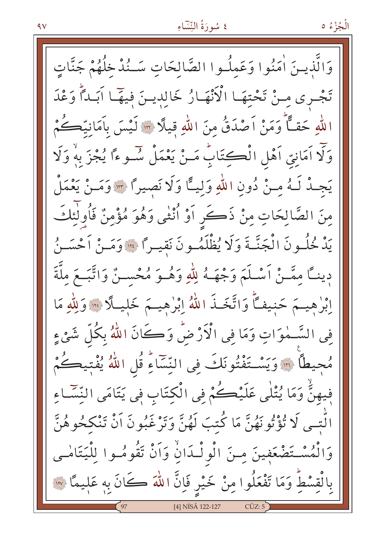وَالَّذِينَ اٰمَنُوا وَعَمِلُـوا الصَّالحَاتِ سَـنُدْخِلُهُمْ جَنَّاتٍ تَجْرِي مِنْ تَحْتِهَا الْأَنْهَارُ خَالِدِينَ فِيهَا آبَداً وَعْدَ اللهِ حَقًّا وَمَنْ اَصْدَقُ مِنَ اللهِ قِيلًا ۞ لَيْسَ بِأَمَانِيَّكُمْ وَلَا اَمَانِيّ اَهْلِ الْڪِتَابُ مَـنْ يَعْمَلْ سُــوءًا يُجْزَ بهْ وَلَا يَجِدْ لَـهُ مِـنْ دُونِ اللّهِ وَلِيـًّا وَلَا نَصِيرًا ٣٠ وَمَـنْ يَعْمَلْ مِنَ الصَّالِحَاتِ مِنْ ذَكَرٍ أَوْ أُنْثَى وَهُوَ مُؤْمِنٌ فَأُولَٰئِكَ يَدْ خُلُونَ الْجَنَّـةَ وَلَا يُظْلَمُونَ نَقيـراً ۞ وَمَـنْ أَحْسَـنُ دِينــًا مِمَّــنْ اَسْـلَمَ وَجْهَــهُ لِلّٰهِ وَهُــوَ مُحْســنٌ وَاتَّبَــعَ ملَّةَ اِبْرٰهِيـَمَ حَنِيفاً وَاتَّخَـٰذَ اللَّهُ اِبْرٰهِيـَمَ خَلِيلًا ۞ وَلِلَّهِ مَا فِي السَّــٰهٰوَاتِ وَمَا فِي الْأَرْضِّ وَكَانَ اللّٰهُ بِكُلِّ شَيْءٍ مُجِيطًا ۞ وَيَسْتَفْتُونَكَ فِي النِّسَاءِ قُلِ اللَّهُ يُفْتِيكُمْ فِيهِنٌّ وَمَا يُتْلَى عَلَيْڪُمْ فِي الْكِتَابِ فِي يَتَامَى النِّسَّـاءِ 'لَّتِـي لَا تُؤْتُونَهُنَّ مَا كُتبَ لَهُنَّ وَتَرْغَبُونَ اَنْ تَنْكِحُوهُنَّ وَالْمُسْتَضْعَفِينَ مِنَ الْولْـدَانِّ وَاَنْ تَقُومُـوا لِلْيَتَامْـي بِالْقِسْطِّ وَمَا تَفْعَلُوا مِنْ خَيْرٍ فَإِنَّ اللّٰهَ ڪَانَ بِهِ عَلِيمًا ۞ [4] NİSÂ 122-127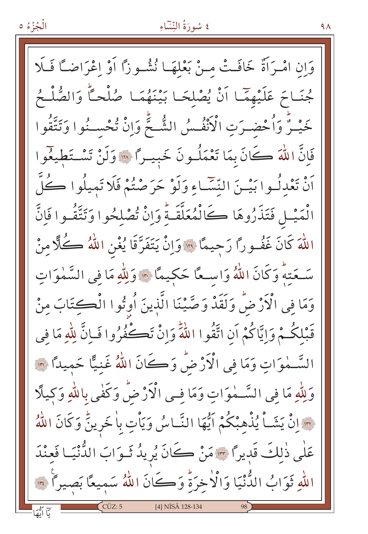وَإِنِ امْـرَاَّةٌ خَافَـتْ مِـنْ بَعْلَهَـا نُشُـوزًا أَوْ اعْرَاضـًا فَـلَا جُنَاحَ عَلَيْهِمَّا أَنْ يُصْلِحَا بَيْنَهُمَا صُلْحاً وَالصُّلْحُ خَيْـرٌ وَأُحْضـرَتِ الْأَنْفُـسُ الشُّـجِّ وَإِنْ تُحْسـنُوا وَتَتَّقُوا فَإِنَّ اللَّهَ كَانَ بِمَا تَعْمَلُونَ خَبِيراً ۞ وَلَنْ تَسْتَطِيعُوا أَنْ تَعْدِلُـوا بَيْـنَ النِّسَّـاءِ وَلَوْ حَرَصْتُمْ فَلَا تَمِيلُوا كُلَّ انْمَيْـلِ فَتَذَرُوهَا كَالْمُعَلَّقَـةُ وَإِنْ تُصْلِحُوا وَتَتَّقُـوا فَإِنَّ اللَّهَ كَانَ غَفُـورًا رَحِيمًا ۞ وَإِنْ يَتَفَرَّقَا يُغْنِ اللَّهُ كُلًّا مِنْ سَعَتِهِ وَكَانَ اللَّهُ وَاسِعًا حَكِيمًا \* وَلِلَّهِ مَا فِي السَّمٰوَاتِ وَمَا في الْأَرْضُ وَلَقَدْ وَصَّيْنَا الَّذِينَ أُوتُوا الْكِتَابَ مِنْ قَبْلِكُـمْ وَإِيَّاكُمْ أَنِ اتَّقُوا اللَّهَ وَإِنْ تَكْفُرُوا فَبِانَّ لِلَّهِ مَا في السَّـٰهٰوَاتِ وَمَا في الْأَرْضُ وَكَانَ اللَّهُ غَنيًّا حَمِيداً ۞ وَلِلَّهِ مَا فِي السَّـمٰوَاتِ وَمَا فِـي الْأَرْضُّ وَكَفٰى بِاللَّهِ وَكِيلًا حِسَانٌ يَشَـأُ يُذْهِبْكُمْ آيُّهَا النَّـاسُ وَيَأْتِ بِالْخَرِينُ وَكَانَ اللَّهُ عَلٰى ذٰلكَ قَدِيرًا ۞ مَنْ كَانَ يُرِيدُ ثَـوَابَ الدُّنْيَـا فَعِنْدَ اللهِ ثَوَابُ الدُّنْيَا وَالْاخِرَةِ وَكَانَ اللَّهُ سَمِيعًا بَصِيرًا ۞  $CCUZ:5$ [4] NİSÂ 128-134

الْجُزْءُ ٥

 $4\lambda$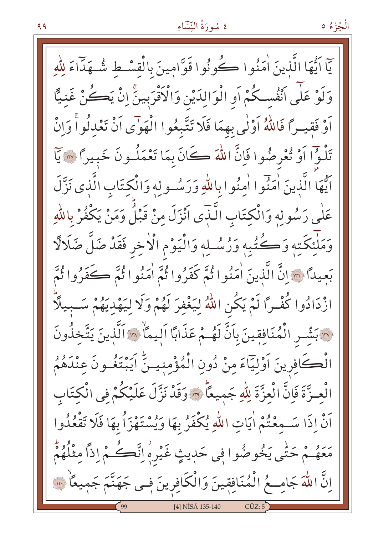الْجُزْءُ ٥

يٓا ايُّهَا الَّذينَ اٰمَنُوا ڪُونُوا قَوَّامِينَ بِالْقِسْطِ شُهَدَّاءَ لِلّٰهِ وَلَوْ عَلَى أَنْفُسكُمْ أَو الْوَالِدَيْنِ وَالْأَقْرَبِينَّ إِنْ يَكُنْ غَنِيًّا أَوْ فَقِيداً فَاللَّهُ أَوْلَٰى بِهِمَا فَلَا تَتَّبِعُوا الْهَوْى أَنْ تَعْدِلُواْ وَإِنْ تَلْوُا أَوْ تُعْرِضُوا فَإِنَّ اللَّهَ كَانَ بِمَا تَعْمَلُونَ خَبِيرًا ۞ يَا اَيُّهَا الَّذِينَ اٰمَنُوا اٰمِنُوا بِاللَّهِ وَرَسُولِهِ وَالْكِتَابِ الَّذِي نَزَّلَ عَلٰی رَسُولِهِ وَالْكِتَابِ الَّـٰذَى أَنْزَلَ منْ قَبْلُ وَمَنْ يَكْفُرْ بِاللّٰهِ وَمَلْئِكَتِهِ وَكُتُبِهِ وَرُسُلِهِ وَالْيَوْمِ الْأَخِرِ فَقَدْ ضَلَّ ضَلَالًا بَعيداً ﴾ إنَّ الَّذينَ اٰمَنُوا ثُمَّ كَفَرُوا ثُمَّ اٰمَنُوا ثُمَّ كَفَرُوا ثُمَّ ازْدَادُوا كُفْـرًا لَمْ يَكُن اللّهُ لِيَغْفِرَ لَهُمْ وَلَا لِيَهْدِيَهُمْ سَــبِيلًاّ لِهِ بَشِّرِ الْمُنَافِقِينَ بِأَنَّ لَهُـمْ عَذَابًا اليمَالِهِ الَّذِينَ يَتَّخذُونَ الْكَافِرِينَ اَوْلِيَآءَ مِنْ دُونِ الْمُؤْمِنِينَّ اَيَبْتَغُـونَ عِنْدَهُمُ الْعِـزَّةَ فَإِنَّ الْعِزَّةَ لِلَّهِ جَمِيعًا ۞ وَقَدْ نَزَّلَ عَلَيْكُمْ فِي الْكِتَابِ أَنْ إِذَا سَـمِعْتُمْ أَيَاتِ اللَّهِ يُكْفَرُ بِهَا وَيُسْتَهْزَأُ بِهَا فَلَا تَقْعُدُوا مَعَهُمْ حَتَّى يَخُوصُوا فِي حَدِيثٍ غَيْرِهِ اِنَّڪُمْ اِذاً مِثْلُهُمْ اِنَّ اللَّهَ جَامِــعُ الْمُنَافِقِينَ وَالْكَافِرِينَ فِـي جَهَنَّمَ جَمِيعًا ۚ ۚ